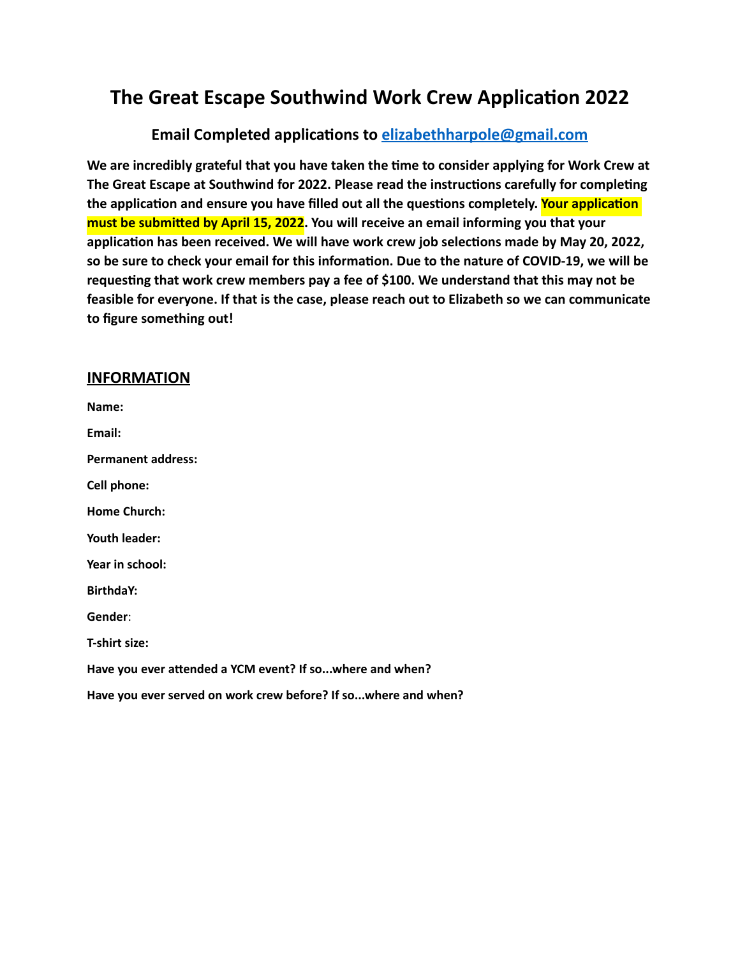# **The Great Escape Southwind Work Crew Application 2022**

### **Email Completed applications to [elizabethharpole@gmail.com](mailto:elizabethharpole@gmail.com)**

**We are incredibly grateful that you have taken the time to consider applying for Work Crew at The Great Escape at Southwind for 2022. Please read the instructions carefully for completing the application and ensure you have filled out all the questions completely. Your application must be submitted by April 15, 2022. You will receive an email informing you that your application has been received. We will have work crew job selections made by May 20, 2022, so be sure to check your email for this information. Due to the nature of COVID-19, we will be requesting that work crew members pay a fee of \$100. We understand that this may not be feasible for everyone. If that is the case, please reach out to Elizabeth so we can communicate to figure something out!**

#### **INFORMATION**

**Name: Email: Permanent address: Cell phone: Home Church: Youth leader: Year in school: BirthdaY: Gender**: **T-shirt size: Have you ever attended a YCM event? If so...where and when? Have you ever served on work crew before? If so...where and when?**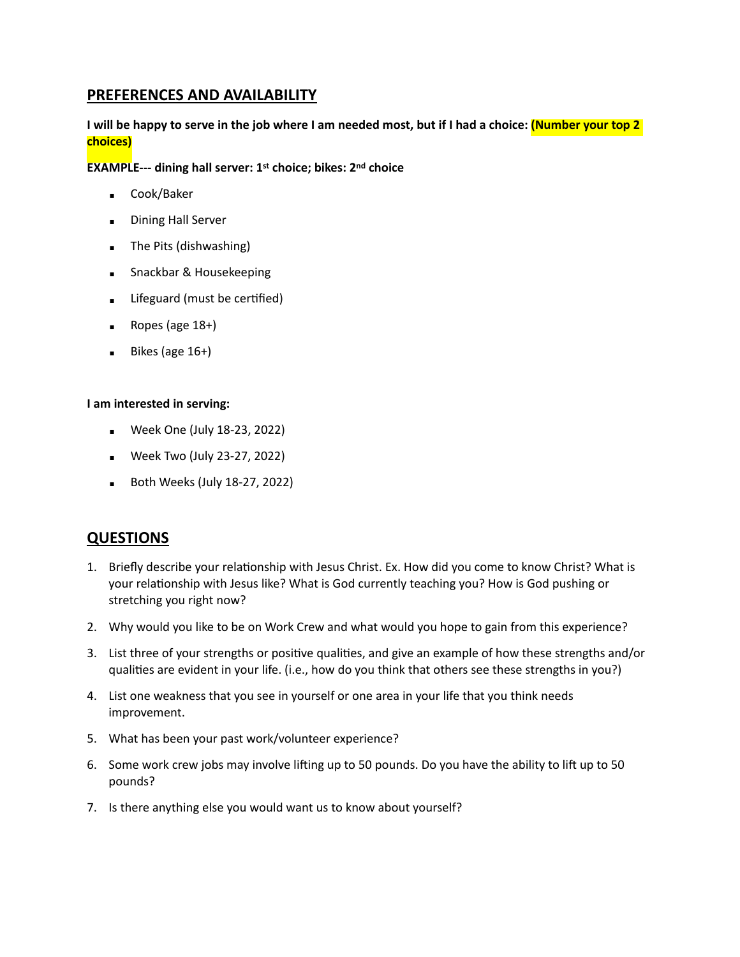#### **PREFERENCES AND AVAILABILITY**

#### **I will be happy to serve in the job where I am needed most, but if I had a choice: (Number your top 2 choices)**

**EXAMPLE--- dining hall server: 1st choice; bikes: 2nd choice**

- Cook/Baker
- **Dining Hall Server**
- The Pits (dishwashing)
- Snackbar & Housekeeping
- **EXECUTE:** Lifeguard (must be certified)
- $\blacksquare$  Ropes (age 18+)
- $\blacksquare$  Bikes (age 16+)

#### **I am interested in serving:**

- Week One (July 18-23, 2022)
- **•** Week Two (July 23-27, 2022)
- **Both Weeks (July 18-27, 2022)**

#### **QUESTIONS**

- 1. Briefly describe your relationship with Jesus Christ. Ex. How did you come to know Christ? What is your relationship with Jesus like? What is God currently teaching you? How is God pushing or stretching you right now?
- 2. Why would you like to be on Work Crew and what would you hope to gain from this experience?
- 3. List three of your strengths or positive qualities, and give an example of how these strengths and/or qualities are evident in your life. (i.e., how do you think that others see these strengths in you?)
- 4. List one weakness that you see in yourself or one area in your life that you think needs improvement.
- 5. What has been your past work/volunteer experience?
- 6. Some work crew jobs may involve lifting up to 50 pounds. Do you have the ability to lift up to 50 pounds?
- 7. Is there anything else you would want us to know about yourself?